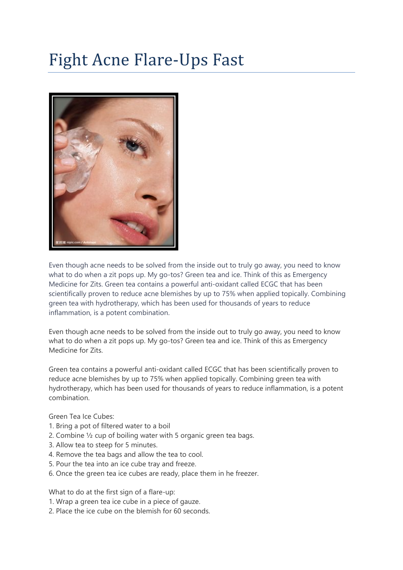## Fight Acne Flare-Ups Fast



Even though acne needs to be solved from the inside out to truly go away, you need to know what to do when a zit pops up. My go-tos? Green tea and ice. Think of this as Emergency Medicine for Zits. Green tea contains a powerful anti-oxidant called ECGC that has been scientifically proven to reduce acne blemishes by up to 75% when applied topically. Combining green tea with hydrotherapy, which has been used for thousands of years to reduce inflammation, is a potent combination.

Even though acne needs to be solved from the inside out to truly go away, you need to know what to do when a zit pops up. My go-tos? Green tea and ice. Think of this as Emergency Medicine for Zits.

Green tea contains a powerful anti-oxidant called ECGC that has been scientifically proven to reduce acne blemishes by up to 75% when applied topically. Combining green tea with hydrotherapy, which has been used for thousands of years to reduce inflammation, is a potent combination.

Green Tea Ice Cubes:

- 1. Bring a pot of filtered water to a boil
- 2. Combine  $\frac{1}{2}$  cup of boiling water with 5 organic green tea bags.
- 3. Allow tea to steep for 5 minutes.
- 4. Remove the tea bags and allow the tea to cool.
- 5. Pour the tea into an ice cube tray and freeze.
- 6. Once the green tea ice cubes are ready, place them in he freezer.

What to do at the first sign of a flare-up:

- 1. Wrap a green tea ice cube in a piece of gauze.
- 2. Place the ice cube on the blemish for 60 seconds.